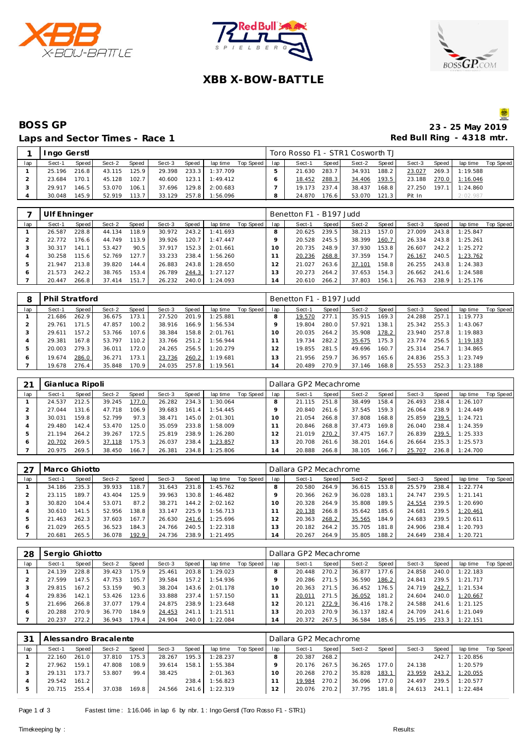





### **XBB X-BOW-BATTLE**

## Laps and Sector Times - Race 1 **Red Bull Ring - 4318 mtr.**

# **BOSS GP** 23 - 25 May 2019

|     | Ingo Gerstl |       |        |       |        |       |          |           |     | Toro Rosso F1 - STR1 Cosworth TJ |       |        |         |        |       |                |           |
|-----|-------------|-------|--------|-------|--------|-------|----------|-----------|-----|----------------------------------|-------|--------|---------|--------|-------|----------------|-----------|
| lap | Sect-1      | Speed | Sect-2 | Speed | Sect-3 | Speed | lap time | Top Speed | lap | Sect-1                           | Speed | Sect-2 | Speed I | Sect-3 | Speed | lap time       | Top Speed |
|     | 25.196      | 216.8 | 43.115 | 125.9 | 29.398 | 233.3 | 1:37.709 |           |     | 21.630                           | 283.7 | 34.931 | 188.2   | 23.027 |       | 269.3 1:19.588 |           |
|     | 23.684      | 170.1 | 45.128 | 102.7 | 40.600 | 123.1 | 1:49.412 |           |     | 18.452                           | 288.3 | 34.406 | 193.5   | 23.188 |       | 270.0 1:16.046 |           |
|     | 29.917      | 146.5 | 53.070 | 106.1 | 37.696 | 129.8 | 2:00.683 |           |     | 19.173                           | 237.4 | 38.437 | 168.8   | 27.250 |       | 197.1 1:24.860 |           |
|     | 30.048      | 145.9 | 52.919 | 113.7 | 33.129 | 257.8 | 1:56.096 |           |     | 24.870                           | 176.6 | 53.070 | 121.3   | Pit In |       | 2:02.987       |           |

|     | Ulf Ehninger |       |        |       |        |       |          |           |     | Benetton F1 - B197 Judd |       |        |       |        |       |          |           |
|-----|--------------|-------|--------|-------|--------|-------|----------|-----------|-----|-------------------------|-------|--------|-------|--------|-------|----------|-----------|
| lap | Sect-1       | Speed | Sect-2 | Speed | Sect-3 | Speed | lap time | Top Speed | lap | Sect-1                  | Speed | Sect-2 | Speed | Sect-3 | Speed | lap time | Top Speed |
|     | 26.587       | 228.8 | 44.134 | 118.9 | 30.972 | 243.2 | 1:41.693 |           |     | 20.625                  | 239.5 | 38.213 | 157.0 | 27.009 | 243.8 | 1:25.847 |           |
|     | 22.772       | 176.6 | 44.749 | 113.9 | 39.926 | 120.7 | 1:47.447 |           |     | 20.528                  | 245.5 | 38.399 | 160.7 | 26.334 | 243.8 | 1:25.261 |           |
|     | 30.317       | 141.1 | 53.427 | 90.5  | 37.917 | 152.3 | 2:01.661 |           |     | 20.735                  | 248.9 | 37.930 | 153.8 | 26.607 | 242.2 | 1:25.272 |           |
|     | 30.258       | 115.6 | 52.769 | 127.7 | 33.233 | 238.4 | 1:56.260 |           |     | 20.236                  | 268.8 | 37.359 | 154.7 | 26.167 | 240.5 | 1:23.762 |           |
| ь   | 21.947       | 213.8 | 39.820 | 144.4 | 26.883 | 243.8 | 1:28.650 |           |     | 21.027                  | 263.6 | 37.101 | 158.8 | 26.255 | 243.8 | 1:24.383 |           |
| O   | 21.573       | 242.2 | 38.765 | 153.4 | 26.789 | 244.3 | 1:27.127 |           | 3   | 20.273                  | 264.2 | 37.653 | 154.3 | 26.662 | 241.6 | 1:24.588 |           |
|     | 20.447       | 266.8 | 37.414 | 151.7 | 26.232 | 240.0 | 1:24.093 |           | 14  | 20.610                  | 266.2 | 37.803 | 156.1 | 26.763 | 238.9 | 1:25.176 |           |

| 8            | <b>Phil Stratford</b> |       |        |                    |        |       |          |           |     | Benetton F1 - B197 Judd |       |        |       |        |       |          |           |
|--------------|-----------------------|-------|--------|--------------------|--------|-------|----------|-----------|-----|-------------------------|-------|--------|-------|--------|-------|----------|-----------|
| lap          | Sect-1                | Speed | Sect-2 | <b>Speed</b>       | Sect-3 | Speed | lap time | Top Speed | lap | Sect-1                  | Speed | Sect-2 | Speed | Sect-3 | Speed | lap time | Top Speed |
|              | 21.686                | 262.9 | 36.675 | 173.1              | 27.520 | 201.9 | 1:25.881 |           |     | 19.570                  | 277.1 | 35.915 | 169.3 | 24.288 | 257.1 | 1:19.773 |           |
|              | 29.761                | 171.5 | 47.857 | 100.2              | 38.916 | 166.9 | 1:56.534 |           |     | 19.804                  | 280.0 | 57.921 | 138.1 | 25.342 | 255.3 | 1:43.067 |           |
|              | 29.611                | 157.2 | 53.766 | 107.6 <sub>1</sub> | 38.384 | 158.8 | 2:01.761 |           |     | 20.035                  | 264.2 | 35.908 | 178.2 | 23.940 | 257.8 | 1:19.883 |           |
|              | 29.381                | 167.8 | 53.797 | 110.2              | 33.766 | 251.2 | 1:56.944 |           |     | 19.734                  | 282.2 | 35.675 | 175.3 | 23.774 | 256.5 | 1:19.183 |           |
|              | 20.003                | 279.3 | 36.011 | 172.0              | 24.265 | 256.5 | 1:20.279 |           |     | 19.855                  | 281.5 | 49.696 | 160.7 | 25.314 | 254.7 | 1:34.865 |           |
| <sub>6</sub> | 19.674                | 286.0 | 36.271 | 173.1              | 23.736 | 260.2 | 1:19.681 |           | 3   | 21.956                  | 259.7 | 36.957 | 165.6 | 24.836 | 255.3 | 1:23.749 |           |
|              | 19.678                | 276.4 | 35.848 | 170.9              | 24.035 | 257.8 | 1:19.561 |           | 14  | 20.489                  | 270.9 | 37.146 | 168.8 | 25.553 | 252.3 | 1:23.188 |           |

|     | Gianluca Ripoli |         |        |       |        |       |          |           |     | Dallara GP2 Mecachrome |       |        |       |        |       |          |           |
|-----|-----------------|---------|--------|-------|--------|-------|----------|-----------|-----|------------------------|-------|--------|-------|--------|-------|----------|-----------|
| lap | Sect-1          | Speed I | Sect-2 | Speed | Sect-3 | Speed | lap time | Top Speed | lap | Sect-1                 | Speed | Sect-2 | Speed | Sect-3 | Speed | lap time | Top Speed |
|     | 24.537          | 212.5   | 39.245 | 177.0 | 26.282 | 234.3 | 1:30.064 |           |     | 21.115                 | 251.8 | 38.499 | 158.4 | 26.493 | 238.4 | 1:26.107 |           |
|     | 27.044          | 131.6   | 47.718 | 106.9 | 39.683 | 161.4 | 1:54.445 |           |     | 20.840                 | 261.6 | 37.545 | 159.3 | 26.064 | 238.9 | 1:24.449 |           |
|     | 30.031          | 159.8   | 52.799 | 97.3  | 38.471 | 145.0 | 2:01.301 |           |     | 21.054                 | 266.8 | 37.808 | 168.8 | 25.859 | 239.5 | 1:24.721 |           |
|     | 29.480          | 142.4   | 53.470 | 125.0 | 35.059 | 233.8 | 1:58.009 |           |     | 20.846                 | 268.8 | 37.473 | 169.8 | 26.040 | 238.4 | 1:24.359 |           |
| Þ   | 21.194          | 264.2   | 39.267 | 172.5 | 25.819 | 238.9 | 1:26.280 |           |     | 21.019                 | 270.2 | 37.475 | 167.7 | 26.839 | 239.5 | 1:25.333 |           |
| ō   | 20.702          | 269.5   | 37.118 | 75.3  | 26.037 | 238.4 | 1:23.857 |           | 3   | 20.708                 | 261.6 | 38.201 | 164.6 | 26.664 | 235.3 | 1:25.573 |           |
|     | 20.975          | 269.5   | 38.450 | 166.7 | 26.381 | 234.8 | 1:25.806 |           | 14  | 20.888                 | 266.8 | 38.105 | 166.7 | 25.707 | 236.8 | 1:24.700 |           |

|     | Marco Ghiotto |                    |        |       |        |       |          |           |          | Dallara GP2 Mecachrome |       |        |        |        |       |          |                  |
|-----|---------------|--------------------|--------|-------|--------|-------|----------|-----------|----------|------------------------|-------|--------|--------|--------|-------|----------|------------------|
| lap | Sect-1        | Speed              | Sect-2 | Speed | Sect-3 | Speed | lap time | Top Speed | lap      | Sect-1                 | Speed | Sect-2 | Speed  | Sect-3 | Speed | lap time | <b>Top Speed</b> |
|     | 34.186        | 235.3              | 39.933 | 118.7 | 31.643 | 231.8 | 1:45.762 |           | 8        | 20.580                 | 264.9 | 36.615 | 153.8  | 25.579 | 238.4 | 1:22.774 |                  |
|     | 23.115        | 189.7 <sub>1</sub> | 43.404 | 125.9 | 39.963 | 130.8 | 1:46.482 |           |          | 20.366                 | 262.9 | 36.028 | 183.1  | 24.747 | 239.5 | 1:21.141 |                  |
| ر - | 30.820        | 104.4              | 53.071 | 87.2  | 38.271 | 144.2 | 2:02.162 |           |          | 20.328                 | 264.9 | 35.808 | 189.5  | 24.554 | 239.5 | 1:20.690 |                  |
|     | 30.610        | 141.5              | 52.956 | 138.8 | 33.147 | 225.9 | 1:56.713 |           |          | 20.138                 | 266.8 | 35.642 | 185.61 | 24.681 | 239.5 | 1:20.461 |                  |
| Þ   | 21.463        | 262.3              | 37.603 | 167.7 | 26.630 | 241.6 | 1:25.696 |           | 12       | 20.363                 | 268.2 | 35.565 | 184.9  | 24.683 | 239.5 | 1:20.611 |                  |
|     | 21.029        | 265.5              | 36.523 | 184.3 | 24.766 | 240.5 | 1:22.318 |           | 13       | 20.182                 | 264.2 | 35.705 | 181.8  | 24.906 | 238.4 | 1:20.793 |                  |
|     | 20.681        | 265.5              | 36.078 | 192.9 | 24.736 | 238.9 | 1:21.495 |           | ×.<br>14 | 20.267                 | 264.9 | 35.805 | 188.2  | 24.649 | 238.4 | 1:20.721 |                  |

| 28  | Sergio Ghiotto |       |        |       |        |       |          |           |                | Dallara GP2 Mecachrome |       |        |       |        |       |          |           |
|-----|----------------|-------|--------|-------|--------|-------|----------|-----------|----------------|------------------------|-------|--------|-------|--------|-------|----------|-----------|
| lap | Sect-1         | Speed | Sect-2 | Speed | Sect-3 | Speed | lap time | Top Speed | lap            | Sect-1                 | Speed | Sect-2 | Speed | Sect-3 | Speed | lap time | Top Speed |
|     | 24.139         | 228.8 | 39.423 | 175.9 | 25.461 | 203.8 | 1:29.023 |           |                | 20.448                 | 270.2 | 36.877 | 77.6  | 24.858 | 240.0 | 1:22.183 |           |
|     | 27.599         | 147.5 | 47.753 | 105.7 | 39.584 | 157.2 | 1:54.936 |           |                | 20.286                 | 271.5 | 36.590 | 186.2 | 24.841 | 239.5 | 1:21.717 |           |
|     | 29.815         | 167.2 | 53.159 | 90.3  | 38.204 | 143.6 | 2:01.178 |           |                | 20.363                 | 271.5 | 36.452 | 176.5 | 24.719 | 242.7 | 1:21.534 |           |
|     | 29.836         | 142.1 | 53.426 | 123.6 | 33.888 | 237.4 | 1:57.150 |           |                | 20.011                 | 271.5 | 36.052 | 181.2 | 24.604 | 240.0 | 1:20.667 |           |
|     | 21.696         | 266.8 | 37.077 | 179.4 | 24.875 | 238.9 | 1:23.648 |           | 2              | 20.121                 | 272.9 | 36.416 | 178.2 | 24.588 | 241.6 | 1:21.125 |           |
| c   | 20.288         | 270.9 | 36.770 | 184.9 | 24.453 | 241.1 | 1:21.511 |           | 3              | 20.203                 | 270.9 | 36.137 | 182.4 | 24.709 | 241.6 | 1:21.049 |           |
|     | 20.237         | 272.2 | 36.943 | 179.4 | 24.904 | 240.0 | 1:22.084 |           | 4 <sup>1</sup> | 20.372                 | 267.5 | 36.584 | 185.6 | 25.195 | 233.3 | 1:22.151 |           |

|     |        |       | Alessandro Bracalente |       |        |       |          |           |     | Dallara GP2 Mecachrome |       |        |       |        |              |          |           |
|-----|--------|-------|-----------------------|-------|--------|-------|----------|-----------|-----|------------------------|-------|--------|-------|--------|--------------|----------|-----------|
| lap | Sect-1 | Speed | Sect-2                | Speed | Sect-3 | Speed | lap time | Top Speed | lap | Sect-1                 | Speed | Sect-2 | Speed | Sect-3 | <b>Speed</b> | lap time | Top Speed |
|     | 22.160 | 261.0 | 37.810                | 175.3 | 28.267 | 195.3 | 1:28.237 |           |     | 20.387                 | 268.2 |        |       |        | 242.7        | 1:20.856 |           |
|     | 27.962 | 159.1 | 47.808                | 108.9 | 39.614 | 158.1 | 1:55.384 |           |     | 20.176                 | 267.5 | 36.265 | 177.0 | 24.138 |              | 1:20.579 |           |
|     | 29.131 | 173.7 | 53.807                | 99.4  | 38.425 |       | 2:01.363 |           | 10  | 20.268                 | 270.2 | 35.828 | 183.1 | 23.959 | 243.2        | 1:20.055 |           |
|     | 29.542 | 161.2 |                       |       |        | 238.4 | 1:56.823 |           |     | 19.984                 | 270.2 | 36.096 | 177.0 | 24.497 | 239.5        | 1:20.577 |           |
|     | 20.715 | 255.4 | 37.038                | 169.8 | 24.566 | 241.6 | 1:22.319 |           |     | 20.076                 | 270.2 | 37.795 | 181.8 | 24.613 | 241.1        | 1:22.484 |           |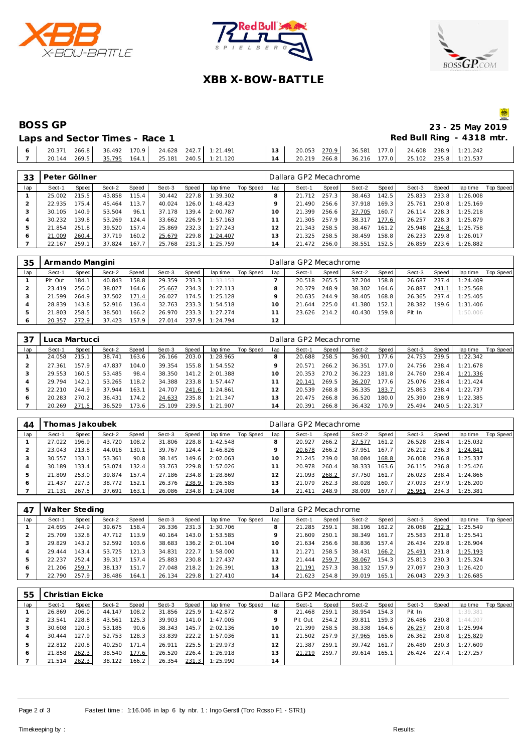





### **XBB X-BOW-BATTLE**

## **BOSS GP 23 - 25 May 2019**

| Laps and Sector Times - Race 1 |  |  |                                                             |                                                    |  |  | Red Bull Ring - 4318 |
|--------------------------------|--|--|-------------------------------------------------------------|----------------------------------------------------|--|--|----------------------|
|                                |  |  | $6$   20.371 266.8   36.492 170.9   24.628 242.7   1:21.491 |                                                    |  |  |                      |
|                                |  |  | $7$   20.144 269.5   $35.795$ 164.1   25.181 240.5 1:21.120 | 14 20.219 266.8 36.216 177.0 25.102 235.8 1:21.537 |  |  |                      |

| 33  | Peter Göllner |       |        |       |        |       |          |           |     | Dallara GP2 Mecachrome |       |        |       |        |       |          |           |
|-----|---------------|-------|--------|-------|--------|-------|----------|-----------|-----|------------------------|-------|--------|-------|--------|-------|----------|-----------|
| lap | Sect-1        | Speed | Sect-2 | Speed | Sect-3 | Speed | lap time | Top Speed | lap | Sect-1                 | Speed | Sect-2 | Speed | Sect-3 | Speed | lap time | Top Speed |
|     | 25.002        | 215.5 | 43.858 | 115.4 | 30.442 | 227.8 | 1:39.302 |           |     | 21.712                 | 257.3 | 38.463 | 142.5 | 25.833 | 233.8 | 1:26.008 |           |
|     | 22.935        | 175.4 | 45.464 | 113.7 | 40.024 | 126.0 | 1:48.423 |           |     | 21.490                 | 256.6 | 37.918 | 169.3 | 25.761 | 230.8 | 1:25.169 |           |
| 3   | 30.105        | 140.9 | 53.504 | 96.1  | 37.178 | 139.4 | 2:00.787 |           | 10  | 21.399                 | 256.6 | 37.705 | 160.7 | 26.114 | 228.3 | 1:25.218 |           |
|     | 30.232        | 139.8 | 53.269 | 124.4 | 33.662 | 226.9 | 1:57.163 |           |     | 21.305                 | 257.9 | 38.317 | 177.6 | 26.257 | 228.3 | 1:25.879 |           |
| 5   | 21.854        | 251.8 | 39.520 | 157.4 | 25.869 | 232.3 | 1:27.243 |           |     | 21.343                 | 258.5 | 38.467 | 161.2 | 25.948 | 234.8 | 1:25.758 |           |
| O   | 21.009        | 260.4 | 37.719 | 160.2 | 25.679 | 229.8 | 1:24.407 |           | 3   | 21.325                 | 258.5 | 38.459 | 158.8 | 26.233 | 229.8 | 1:26.017 |           |
|     | 22.167        | 259.1 | 37.824 | 167.7 | 25.768 | 231.3 | 1:25.759 |           | 14  | 21.472                 | 256.0 | 38.551 | 152.5 | 26.859 | 223.6 | 1:26.882 |           |

| 35      | Armando Mangini |       |        |       |        |       |          |           |     | Dallara GP2 Mecachrome |       |        |                    |        |       |          |           |
|---------|-----------------|-------|--------|-------|--------|-------|----------|-----------|-----|------------------------|-------|--------|--------------------|--------|-------|----------|-----------|
| lap     | Sect-1          | Speed | Sect-2 | Speed | Sect-3 | Speed | lap time | Top Speed | lap | Sect-1                 | Speed | Sect-2 | Speed              | Sect-3 | Speed | lap time | Top Speed |
|         | Pit Out         | 184.1 | 40.843 | 158.8 | 29.359 | 233.3 | 1:33.153 |           |     | 20.518                 | 265.5 | 37.204 | 158.8 <sub>1</sub> | 26.687 | 237.4 | 1:24.409 |           |
|         | 23.419          | 256.0 | 38.027 | 164.6 | 25.667 | 234.3 | 1:27.113 |           |     | 20.379                 | 248.9 | 38.302 | 164.6              | 26.887 | 241.1 | 1:25.568 |           |
|         | 21.599          | 264.9 | 37.502 | 171.4 | 26.027 | 174.5 | 1:25.128 |           |     | 20.635                 | 244.9 | 38.405 | 168.8              | 26.365 | 237.4 | 1:25.405 |           |
|         | 28.839          | 143.8 | 52.916 | 136.4 | 32.763 | 233.3 | 1:54.518 |           |     | 21.644                 | 225.0 | 41.380 | 152.1              | 28.382 | 199.6 | 1:31.406 |           |
|         | 21.803          | 258.5 | 38.501 | 166.2 | 26.970 | 233.3 | 1:27.274 |           |     | 23.626                 | 214.2 | 40.430 | 159.8              | Pit In |       | 1:50.006 |           |
| $\circ$ | 20.357          | 272.9 | 37.423 | 157.9 | 27.014 | 237.9 | 1:24.794 |           | 12  |                        |       |        |                    |        |       |          |           |

| 37      | Luca Martucci |       |        |       |        |       |          |           |     | Dallara GP2 Mecachrome |       |        |         |        |       |          |           |
|---------|---------------|-------|--------|-------|--------|-------|----------|-----------|-----|------------------------|-------|--------|---------|--------|-------|----------|-----------|
| lap     | Sect-1        | Speed | Sect-2 | Speed | Sect-3 | Speed | lap time | Top Speed | lap | Sect-1                 | Speed | Sect-2 | Speed   | Sect-3 | Speed | lap time | Top Speed |
|         | 24.058        | 215.1 | 38.741 | 163.6 | 26.166 | 203.0 | 1:28.965 |           |     | 20.688                 | 258.5 | 36.901 | 177.6   | 24.753 | 239.5 | 1:22.342 |           |
|         | 27.361        | 157.9 | 47.837 | 104.0 | 39.354 | 155.8 | 1:54.552 |           |     | 20.571                 | 266.2 | 36.351 | 177.0   | 24.756 | 238.4 | 1:21.678 |           |
|         | 29.553        | 160.5 | 53.485 | 98.4  | 38.350 | 141.2 | 2:01.388 |           |     | 20.353                 | 270.2 | 36.223 | 181.8   | 24.760 | 238.4 | 1:21.336 |           |
| 4       | 29.794        | 142.1 | 53.265 | 118.2 | 34.388 | 233.8 | 1:57.447 |           |     | 20.141                 | 269.5 | 36.207 | 177.6   | 25.076 | 238.4 | 1:21.424 |           |
| 5       | 22.210        | 244.9 | 37.944 | 163.1 | 24.707 | 241.6 | 1:24.861 |           |     | 20.539                 | 268.8 | 36.335 | 183.7   | 25.863 | 238.4 | 1:22.737 |           |
| $\circ$ | 20.283        | 270.2 | 36.431 | 174.2 | 24.633 | 235.8 | 1:21.347 |           | 3   | 20.475                 | 266.8 | 36.520 | 180.0   | 25.390 | 238.9 | 1:22.385 |           |
|         | 20.269        | 271.5 | 36.529 | 173.6 | 25.109 | 239.5 | 1:21.907 |           | 14  | 20.391                 | 266.8 | 36.432 | 170.9 I | 25.494 | 240.5 | 1:22.317 |           |

| 44  |        |       | homas Jakoubek |       |        |       |          |           |     | Dallara GP2 Mecachrome |       |        |                       |        |       |          |           |
|-----|--------|-------|----------------|-------|--------|-------|----------|-----------|-----|------------------------|-------|--------|-----------------------|--------|-------|----------|-----------|
| lap | Sect-1 | Speed | Sect-2         | Speed | Sect-3 | Speed | lap time | Top Speed | lap | Sect-1                 | Speed | Sect-2 | Speed                 | Sect-3 | Speed | lap time | Top Speed |
|     | 27.022 | 196.9 | 43.720         | 108.2 | 31.806 | 228.8 | 1:42.548 |           |     | 20.927                 | 266.2 | 37.577 | 161<br>$2^{\circ}$    | 26.528 | 238.4 | 1:25.032 |           |
|     | 23.043 | 213.8 | 44.016         | 130.1 | 39.767 | 124.4 | 1:46.826 |           |     | 20.678                 | 266.2 | 37.951 | 167.7                 | 26.212 | 236.3 | 1:24.841 |           |
|     | 30.557 | 133.1 | 53.361         | 90.8  | 38.145 | 149.6 | 2:02.063 |           |     | 21.245                 | 239.0 | 38.084 | 168.8                 | 26.008 | 236.8 | 1:25.337 |           |
| 4   | 30.189 | 133.4 | 53.074         | 132.4 | 33.763 | 229.8 | 1:57.026 |           |     | 20.978                 | 260.4 | 38.333 | 163.6                 | 26.115 | 236.8 | 1:25.426 |           |
| ь   | 21.809 | 253.0 | 39.874         | 157.4 | 27.186 | 234.8 | 1:28.869 |           |     | 21.093                 | 268.2 | 37.750 | $\overline{7}$<br>161 | 26.023 | 238.4 | 1:24.866 |           |
| 6   | 21.437 | 227.3 | 38.772         | 152.1 | 26.376 | 238.9 | 1:26.585 |           | 3   | 21.079                 | 262.3 | 38.028 | 160.71                | 27.093 | 237.9 | 1:26.200 |           |
|     | 21.131 | 267.5 | 37.691         | 163.1 | 26.086 | 234.8 | 1:24.908 |           | 14  | 21.411                 | 248.9 | 38.009 | 167.7                 | 25.961 | 234.3 | 1:25.381 |           |

|     | Walter Steding |       |        |       |        |       |          |           | Dallara GP2 Mecachrome |        |       |        |       |        |       |          |           |  |
|-----|----------------|-------|--------|-------|--------|-------|----------|-----------|------------------------|--------|-------|--------|-------|--------|-------|----------|-----------|--|
| lap | Sect-1         | Speed | Sect-2 | Speed | Sect-3 | Speed | lap time | Top Speed | lap                    | Sect-1 | Speed | Sect-2 | Speed | Sect-3 | Speed | lap time | Top Speed |  |
|     | 24.695         | 244.9 | 39.675 | 158.4 | 26.336 | 231.3 | 1:30.706 |           |                        | 21.285 | 259.1 | 38.196 | 162.2 | 26.068 | 232.3 | 1:25.549 |           |  |
|     | 25.709         | 132.8 | 47.712 | 113.9 | 40.164 | 143.0 | 1:53.585 |           |                        | 21.609 | 250.1 | 38.349 | 161.7 | 25.583 | 231.8 | 1:25.541 |           |  |
|     | 29.829         | 143.2 | 52.592 | 103.6 | 38.683 | 136.2 | 2:01.104 |           |                        | 21.634 | 256.6 | 38.836 | 157.4 | 26.434 | 229.8 | 1:26.904 |           |  |
|     | 29.444         | 143.4 | 53.725 | 121.3 | 34.831 | 222.7 | 1:58.000 |           |                        | 21.271 | 258.5 | 38.431 | 166.2 | 25.491 | 231.8 | 1:25.193 |           |  |
|     | 22.237         | 252.4 | 39.317 | 157.4 | 25.883 | 230.8 | 1:27.437 |           |                        | 21.444 | 259.7 | 38.067 | 154.3 | 25.813 | 230.3 | 1:25.324 |           |  |
| c   | 21.206         | 259.7 | 38.137 | 151.7 | 27.048 | 218.2 | 1:26.391 |           |                        | 21.191 | 257.3 | 38.132 | 157.9 | 27.097 | 230.3 | 1:26.420 |           |  |
|     | 22.790         | 257.9 | 38.486 | 164.1 | 26.134 | 229.8 | 1:27.410 |           | 14                     | 21.623 | 254.8 | 39.019 | 165.1 | 26.043 | 229.3 | 1:26.685 |           |  |

| 55  | Christian Eicke |       |        |       |        |       |          |           | Dallara GP2 Mecachrome |         |       |        |       |        |       |          |           |  |  |
|-----|-----------------|-------|--------|-------|--------|-------|----------|-----------|------------------------|---------|-------|--------|-------|--------|-------|----------|-----------|--|--|
| lap | Sect-1          | Speed | Sect-2 | Speed | Sect-3 | Speed | lap time | Top Speed | lap                    | Sect-1  | Speed | Sect-2 | Speed | Sect-3 | Speed | lap time | Top Speed |  |  |
|     | 26.869          | 206.0 | 44.147 | 108.2 | 31.856 | 225.9 | 1:42.872 |           |                        | 21.468  | 259.1 | 38.954 | 154.3 | Pit In |       | 1:39.381 |           |  |  |
|     | 23.541          | 228.8 | 43.561 | 125.3 | 39.903 | 141.0 | 1:47.005 |           |                        | Pit Out | 254.2 | 39.811 | 159.3 | 26.486 | 230.8 | 1:44.207 |           |  |  |
|     | 30.608          | 120.3 | 53.185 | 90.6  | 38.343 | 145.7 | 2:02.136 |           |                        | 21.399  | 258.5 | 38.338 | 164.6 | 26.257 | 230.8 | 1:25.994 |           |  |  |
|     | 30.444          | 127.9 | 52.753 | 128.3 | 33.839 | 222.2 | 1:57.036 |           |                        | 21.502  | 257.9 | 37.965 | 165.6 | 26.362 | 230.8 | 1:25.829 |           |  |  |
|     | 22.812          | 220.8 | 40.250 | 171.4 | 26.911 | 225.5 | 1:29.973 |           |                        | 21.387  | 259.1 | 39.742 | 161.7 | 26.480 | 230.3 | 1:27.609 |           |  |  |
| o   | 21.858          | 262.3 | 38.540 | 177.6 | 26.520 | 226.4 | 1:26.918 |           | 3                      | 21.219  | 259.7 | 39.614 | 165.1 | 26.424 | 227.4 | 1:27.257 |           |  |  |
|     | 21.514          | 262.3 | 38.122 | 166.2 | 26.354 | 231.3 | 1:25.990 |           | 14                     |         |       |        |       |        |       |          |           |  |  |